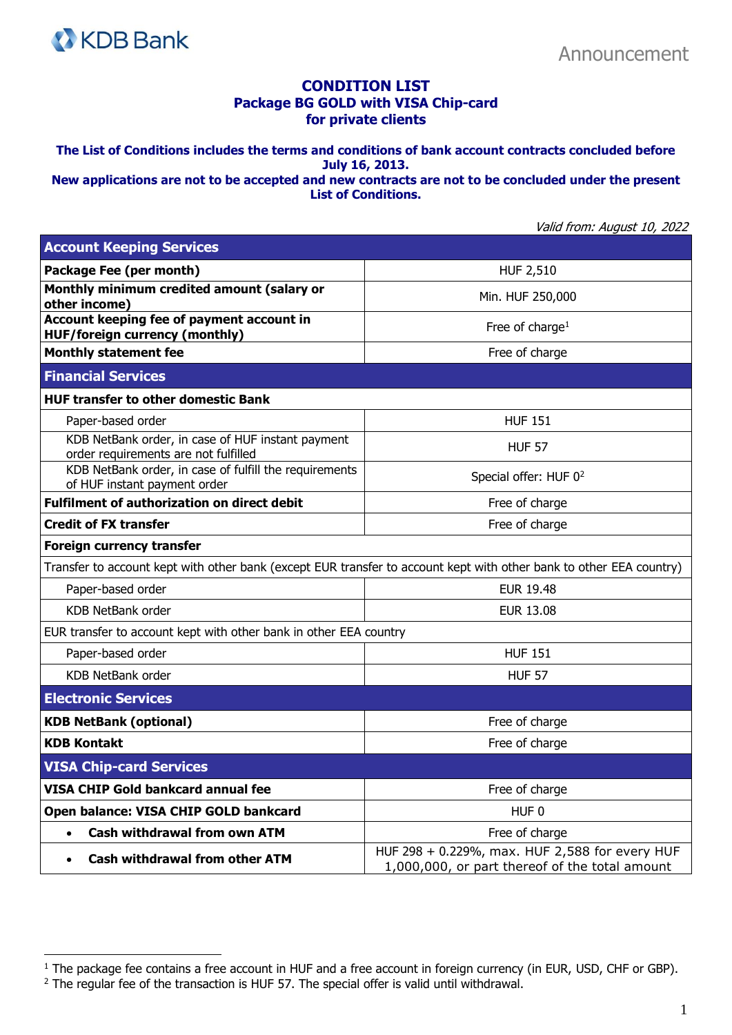

## **CONDITION LIST Package BG GOLD with VISA Chip-card for private clients**

**The List of Conditions includes the terms and conditions of bank account contracts concluded before July 16, 2013.** 

**New applications are not to be accepted and new contracts are not to be concluded under the present List of Conditions.**

Valid from: August 10, 2022

| <b>Account Keeping Services</b>                                                                                     |                                                                                                  |  |
|---------------------------------------------------------------------------------------------------------------------|--------------------------------------------------------------------------------------------------|--|
| Package Fee (per month)                                                                                             | <b>HUF 2,510</b>                                                                                 |  |
| Monthly minimum credited amount (salary or<br>other income)                                                         | Min. HUF 250,000                                                                                 |  |
| Account keeping fee of payment account in<br><b>HUF/foreign currency (monthly)</b>                                  | Free of charge <sup>1</sup>                                                                      |  |
| <b>Monthly statement fee</b>                                                                                        | Free of charge                                                                                   |  |
| <b>Financial Services</b>                                                                                           |                                                                                                  |  |
| <b>HUF transfer to other domestic Bank</b>                                                                          |                                                                                                  |  |
| Paper-based order                                                                                                   | <b>HUF 151</b>                                                                                   |  |
| KDB NetBank order, in case of HUF instant payment<br>order requirements are not fulfilled                           | <b>HUF 57</b>                                                                                    |  |
| KDB NetBank order, in case of fulfill the requirements<br>of HUF instant payment order                              | Special offer: HUF 0 <sup>2</sup>                                                                |  |
| <b>Fulfilment of authorization on direct debit</b>                                                                  | Free of charge                                                                                   |  |
| <b>Credit of FX transfer</b>                                                                                        | Free of charge                                                                                   |  |
| <b>Foreign currency transfer</b>                                                                                    |                                                                                                  |  |
| Transfer to account kept with other bank (except EUR transfer to account kept with other bank to other EEA country) |                                                                                                  |  |
| Paper-based order                                                                                                   | <b>EUR 19.48</b>                                                                                 |  |
| <b>KDB NetBank order</b>                                                                                            | <b>EUR 13.08</b>                                                                                 |  |
| EUR transfer to account kept with other bank in other EEA country                                                   |                                                                                                  |  |
| Paper-based order                                                                                                   | <b>HUF 151</b>                                                                                   |  |
| <b>KDB NetBank order</b>                                                                                            | <b>HUF 57</b>                                                                                    |  |
| <b>Electronic Services</b>                                                                                          |                                                                                                  |  |
| <b>KDB NetBank (optional)</b>                                                                                       | Free of charge                                                                                   |  |
| <b>KDB Kontakt</b>                                                                                                  | Free of charge                                                                                   |  |
| <b>VISA Chip-card Services</b>                                                                                      |                                                                                                  |  |
| <b>VISA CHIP Gold bankcard annual fee</b>                                                                           | Free of charge                                                                                   |  |
| Open balance: VISA CHIP GOLD bankcard                                                                               | HUF <sub>0</sub>                                                                                 |  |
| <b>Cash withdrawal from own ATM</b><br>$\bullet$                                                                    | Free of charge                                                                                   |  |
| <b>Cash withdrawal from other ATM</b><br>$\bullet$                                                                  | HUF 298 + 0.229%, max. HUF 2,588 for every HUF<br>1,000,000, or part thereof of the total amount |  |

<sup>&</sup>lt;sup>1</sup> The package fee contains a free account in HUF and a free account in foreign currency (in EUR, USD, CHF or GBP).

 $2$  The regular fee of the transaction is HUF 57. The special offer is valid until withdrawal.